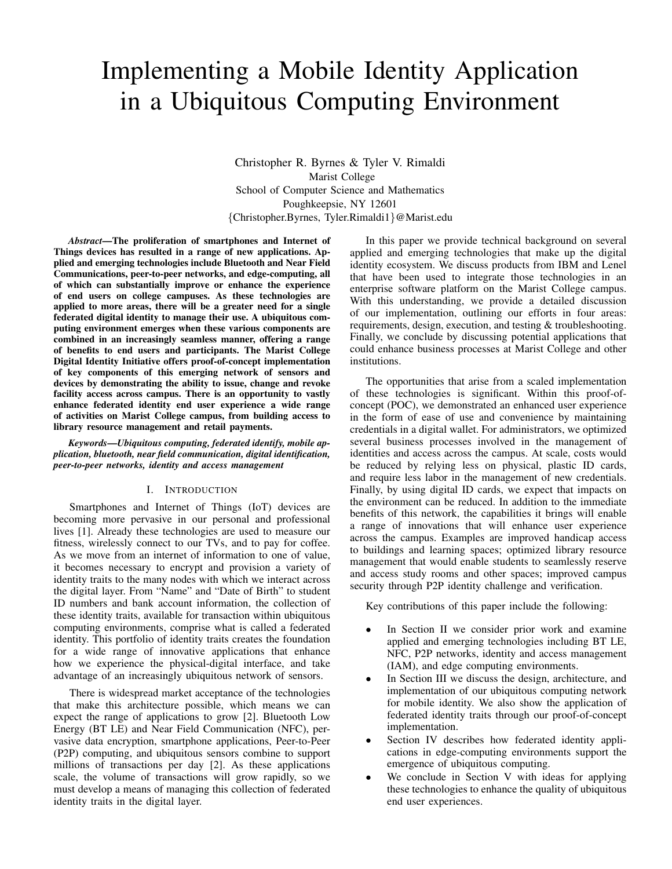# Implementing a Mobile Identity Application in a Ubiquitous Computing Environment

Christopher R. Byrnes & Tyler V. Rimaldi Marist College School of Computer Science and Mathematics Poughkeepsie, NY 12601 {Christopher.Byrnes, Tyler.Rimaldi1}@Marist.edu

*Abstract*—The proliferation of smartphones and Internet of Things devices has resulted in a range of new applications. Applied and emerging technologies include Bluetooth and Near Field Communications, peer-to-peer networks, and edge-computing, all of which can substantially improve or enhance the experience of end users on college campuses. As these technologies are applied to more areas, there will be a greater need for a single federated digital identity to manage their use. A ubiquitous computing environment emerges when these various components are combined in an increasingly seamless manner, offering a range of benefits to end users and participants. The Marist College Digital Identity Initiative offers proof-of-concept implementation of key components of this emerging network of sensors and devices by demonstrating the ability to issue, change and revoke facility access across campus. There is an opportunity to vastly enhance federated identity end user experience a wide range of activities on Marist College campus, from building access to library resource management and retail payments.

*Keywords*—*Ubiquitous computing, federated identify, mobile application, bluetooth, near field communication, digital identification, peer-to-peer networks, identity and access management*

## I. INTRODUCTION

Smartphones and Internet of Things (IoT) devices are becoming more pervasive in our personal and professional lives [1]. Already these technologies are used to measure our fitness, wirelessly connect to our TVs, and to pay for coffee. As we move from an internet of information to one of value, it becomes necessary to encrypt and provision a variety of identity traits to the many nodes with which we interact across the digital layer. From "Name" and "Date of Birth" to student ID numbers and bank account information, the collection of these identity traits, available for transaction within ubiquitous computing environments, comprise what is called a federated identity. This portfolio of identity traits creates the foundation for a wide range of innovative applications that enhance how we experience the physical-digital interface, and take advantage of an increasingly ubiquitous network of sensors.

There is widespread market acceptance of the technologies that make this architecture possible, which means we can expect the range of applications to grow [2]. Bluetooth Low Energy (BT LE) and Near Field Communication (NFC), pervasive data encryption, smartphone applications, Peer-to-Peer (P2P) computing, and ubiquitous sensors combine to support millions of transactions per day [2]. As these applications scale, the volume of transactions will grow rapidly, so we must develop a means of managing this collection of federated identity traits in the digital layer.

In this paper we provide technical background on several applied and emerging technologies that make up the digital identity ecosystem. We discuss products from IBM and Lenel that have been used to integrate those technologies in an enterprise software platform on the Marist College campus. With this understanding, we provide a detailed discussion of our implementation, outlining our efforts in four areas: requirements, design, execution, and testing & troubleshooting. Finally, we conclude by discussing potential applications that could enhance business processes at Marist College and other institutions.

The opportunities that arise from a scaled implementation of these technologies is significant. Within this proof-ofconcept (POC), we demonstrated an enhanced user experience in the form of ease of use and convenience by maintaining credentials in a digital wallet. For administrators, we optimized several business processes involved in the management of identities and access across the campus. At scale, costs would be reduced by relying less on physical, plastic ID cards, and require less labor in the management of new credentials. Finally, by using digital ID cards, we expect that impacts on the environment can be reduced. In addition to the immediate benefits of this network, the capabilities it brings will enable a range of innovations that will enhance user experience across the campus. Examples are improved handicap access to buildings and learning spaces; optimized library resource management that would enable students to seamlessly reserve and access study rooms and other spaces; improved campus security through P2P identity challenge and verification.

Key contributions of this paper include the following:

- In Section II we consider prior work and examine applied and emerging technologies including BT LE, NFC, P2P networks, identity and access management (IAM), and edge computing environments.
- In Section III we discuss the design, architecture, and implementation of our ubiquitous computing network for mobile identity. We also show the application of federated identity traits through our proof-of-concept implementation.
- Section IV describes how federated identity applications in edge-computing environments support the emergence of ubiquitous computing.
- We conclude in Section V with ideas for applying these technologies to enhance the quality of ubiquitous end user experiences.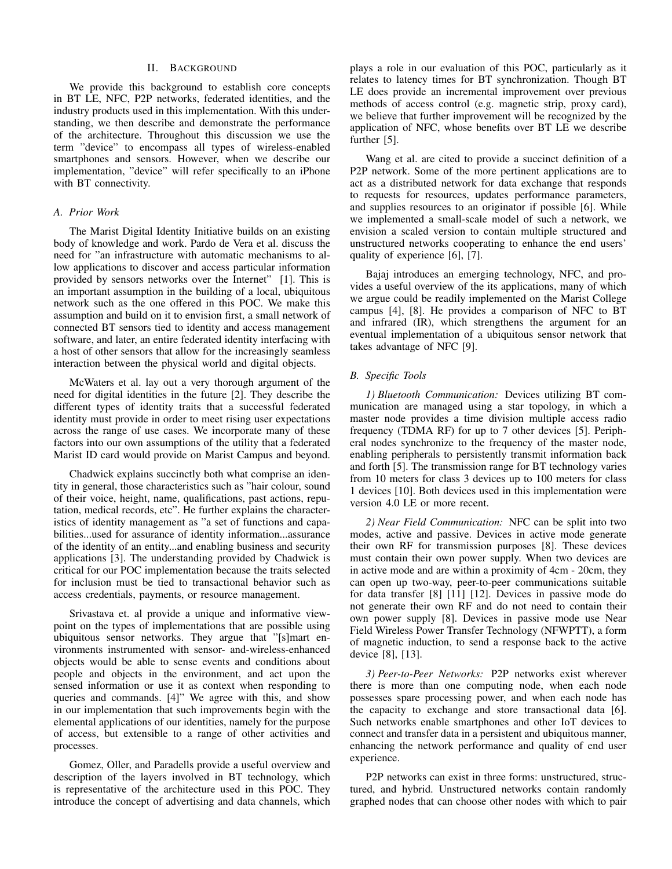#### II. BACKGROUND

We provide this background to establish core concepts in BT LE, NFC, P2P networks, federated identities, and the industry products used in this implementation. With this understanding, we then describe and demonstrate the performance of the architecture. Throughout this discussion we use the term "device" to encompass all types of wireless-enabled smartphones and sensors. However, when we describe our implementation, "device" will refer specifically to an iPhone with BT connectivity.

## *A. Prior Work*

The Marist Digital Identity Initiative builds on an existing body of knowledge and work. Pardo de Vera et al. discuss the need for "an infrastructure with automatic mechanisms to allow applications to discover and access particular information provided by sensors networks over the Internet" [1]. This is an important assumption in the building of a local, ubiquitous network such as the one offered in this POC. We make this assumption and build on it to envision first, a small network of connected BT sensors tied to identity and access management software, and later, an entire federated identity interfacing with a host of other sensors that allow for the increasingly seamless interaction between the physical world and digital objects.

McWaters et al. lay out a very thorough argument of the need for digital identities in the future [2]. They describe the different types of identity traits that a successful federated identity must provide in order to meet rising user expectations across the range of use cases. We incorporate many of these factors into our own assumptions of the utility that a federated Marist ID card would provide on Marist Campus and beyond.

Chadwick explains succinctly both what comprise an identity in general, those characteristics such as "hair colour, sound of their voice, height, name, qualifications, past actions, reputation, medical records, etc". He further explains the characteristics of identity management as "a set of functions and capabilities...used for assurance of identity information...assurance of the identity of an entity...and enabling business and security applications [3]. The understanding provided by Chadwick is critical for our POC implementation because the traits selected for inclusion must be tied to transactional behavior such as access credentials, payments, or resource management.

Srivastava et. al provide a unique and informative viewpoint on the types of implementations that are possible using ubiquitous sensor networks. They argue that "[s]mart environments instrumented with sensor- and-wireless-enhanced objects would be able to sense events and conditions about people and objects in the environment, and act upon the sensed information or use it as context when responding to queries and commands. [4]" We agree with this, and show in our implementation that such improvements begin with the elemental applications of our identities, namely for the purpose of access, but extensible to a range of other activities and processes.

Gomez, Oller, and Paradells provide a useful overview and description of the layers involved in BT technology, which is representative of the architecture used in this POC. They introduce the concept of advertising and data channels, which plays a role in our evaluation of this POC, particularly as it relates to latency times for BT synchronization. Though BT LE does provide an incremental improvement over previous methods of access control (e.g. magnetic strip, proxy card), we believe that further improvement will be recognized by the application of NFC, whose benefits over BT LE we describe further [5].

Wang et al. are cited to provide a succinct definition of a P2P network. Some of the more pertinent applications are to act as a distributed network for data exchange that responds to requests for resources, updates performance parameters, and supplies resources to an originator if possible [6]. While we implemented a small-scale model of such a network, we envision a scaled version to contain multiple structured and unstructured networks cooperating to enhance the end users' quality of experience [6], [7].

Bajaj introduces an emerging technology, NFC, and provides a useful overview of the its applications, many of which we argue could be readily implemented on the Marist College campus [4], [8]. He provides a comparison of NFC to BT and infrared (IR), which strengthens the argument for an eventual implementation of a ubiquitous sensor network that takes advantage of NFC [9].

#### *B. Specific Tools*

*1) Bluetooth Communication:* Devices utilizing BT communication are managed using a star topology, in which a master node provides a time division multiple access radio frequency (TDMA RF) for up to 7 other devices [5]. Peripheral nodes synchronize to the frequency of the master node, enabling peripherals to persistently transmit information back and forth [5]. The transmission range for BT technology varies from 10 meters for class 3 devices up to 100 meters for class 1 devices [10]. Both devices used in this implementation were version 4.0 LE or more recent.

*2) Near Field Communication:* NFC can be split into two modes, active and passive. Devices in active mode generate their own RF for transmission purposes [8]. These devices must contain their own power supply. When two devices are in active mode and are within a proximity of 4cm - 20cm, they can open up two-way, peer-to-peer communications suitable for data transfer [8] [11] [12]. Devices in passive mode do not generate their own RF and do not need to contain their own power supply [8]. Devices in passive mode use Near Field Wireless Power Transfer Technology (NFWPTT), a form of magnetic induction, to send a response back to the active device [8], [13].

*3) Peer-to-Peer Networks:* P2P networks exist wherever there is more than one computing node, when each node possesses spare processing power, and when each node has the capacity to exchange and store transactional data [6]. Such networks enable smartphones and other IoT devices to connect and transfer data in a persistent and ubiquitous manner, enhancing the network performance and quality of end user experience.

P2P networks can exist in three forms: unstructured, structured, and hybrid. Unstructured networks contain randomly graphed nodes that can choose other nodes with which to pair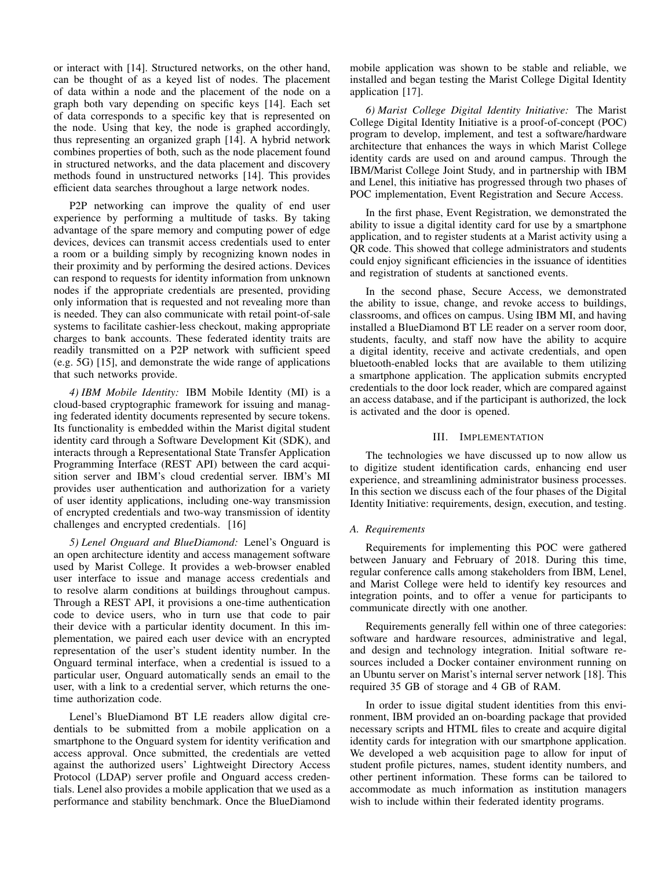or interact with [14]. Structured networks, on the other hand, can be thought of as a keyed list of nodes. The placement of data within a node and the placement of the node on a graph both vary depending on specific keys [14]. Each set of data corresponds to a specific key that is represented on the node. Using that key, the node is graphed accordingly, thus representing an organized graph [14]. A hybrid network combines properties of both, such as the node placement found in structured networks, and the data placement and discovery methods found in unstructured networks [14]. This provides efficient data searches throughout a large network nodes.

P2P networking can improve the quality of end user experience by performing a multitude of tasks. By taking advantage of the spare memory and computing power of edge devices, devices can transmit access credentials used to enter a room or a building simply by recognizing known nodes in their proximity and by performing the desired actions. Devices can respond to requests for identity information from unknown nodes if the appropriate credentials are presented, providing only information that is requested and not revealing more than is needed. They can also communicate with retail point-of-sale systems to facilitate cashier-less checkout, making appropriate charges to bank accounts. These federated identity traits are readily transmitted on a P2P network with sufficient speed (e.g. 5G) [15], and demonstrate the wide range of applications that such networks provide.

*4) IBM Mobile Identity:* IBM Mobile Identity (MI) is a cloud-based cryptographic framework for issuing and managing federated identity documents represented by secure tokens. Its functionality is embedded within the Marist digital student identity card through a Software Development Kit (SDK), and interacts through a Representational State Transfer Application Programming Interface (REST API) between the card acquisition server and IBM's cloud credential server. IBM's MI provides user authentication and authorization for a variety of user identity applications, including one-way transmission of encrypted credentials and two-way transmission of identity challenges and encrypted credentials. [16]

*5) Lenel Onguard and BlueDiamond:* Lenel's Onguard is an open architecture identity and access management software used by Marist College. It provides a web-browser enabled user interface to issue and manage access credentials and to resolve alarm conditions at buildings throughout campus. Through a REST API, it provisions a one-time authentication code to device users, who in turn use that code to pair their device with a particular identity document. In this implementation, we paired each user device with an encrypted representation of the user's student identity number. In the Onguard terminal interface, when a credential is issued to a particular user, Onguard automatically sends an email to the user, with a link to a credential server, which returns the onetime authorization code.

Lenel's BlueDiamond BT LE readers allow digital credentials to be submitted from a mobile application on a smartphone to the Onguard system for identity verification and access approval. Once submitted, the credentials are vetted against the authorized users' Lightweight Directory Access Protocol (LDAP) server profile and Onguard access credentials. Lenel also provides a mobile application that we used as a performance and stability benchmark. Once the BlueDiamond mobile application was shown to be stable and reliable, we installed and began testing the Marist College Digital Identity application [17].

*6) Marist College Digital Identity Initiative:* The Marist College Digital Identity Initiative is a proof-of-concept (POC) program to develop, implement, and test a software/hardware architecture that enhances the ways in which Marist College identity cards are used on and around campus. Through the IBM/Marist College Joint Study, and in partnership with IBM and Lenel, this initiative has progressed through two phases of POC implementation, Event Registration and Secure Access.

In the first phase, Event Registration, we demonstrated the ability to issue a digital identity card for use by a smartphone application, and to register students at a Marist activity using a QR code. This showed that college administrators and students could enjoy significant efficiencies in the issuance of identities and registration of students at sanctioned events.

In the second phase, Secure Access, we demonstrated the ability to issue, change, and revoke access to buildings, classrooms, and offices on campus. Using IBM MI, and having installed a BlueDiamond BT LE reader on a server room door, students, faculty, and staff now have the ability to acquire a digital identity, receive and activate credentials, and open bluetooth-enabled locks that are available to them utilizing a smartphone application. The application submits encrypted credentials to the door lock reader, which are compared against an access database, and if the participant is authorized, the lock is activated and the door is opened.

## III. IMPLEMENTATION

The technologies we have discussed up to now allow us to digitize student identification cards, enhancing end user experience, and streamlining administrator business processes. In this section we discuss each of the four phases of the Digital Identity Initiative: requirements, design, execution, and testing.

## *A. Requirements*

Requirements for implementing this POC were gathered between January and February of 2018. During this time, regular conference calls among stakeholders from IBM, Lenel, and Marist College were held to identify key resources and integration points, and to offer a venue for participants to communicate directly with one another.

Requirements generally fell within one of three categories: software and hardware resources, administrative and legal, and design and technology integration. Initial software resources included a Docker container environment running on an Ubuntu server on Marist's internal server network [18]. This required 35 GB of storage and 4 GB of RAM.

In order to issue digital student identities from this environment, IBM provided an on-boarding package that provided necessary scripts and HTML files to create and acquire digital identity cards for integration with our smartphone application. We developed a web acquisition page to allow for input of student profile pictures, names, student identity numbers, and other pertinent information. These forms can be tailored to accommodate as much information as institution managers wish to include within their federated identity programs.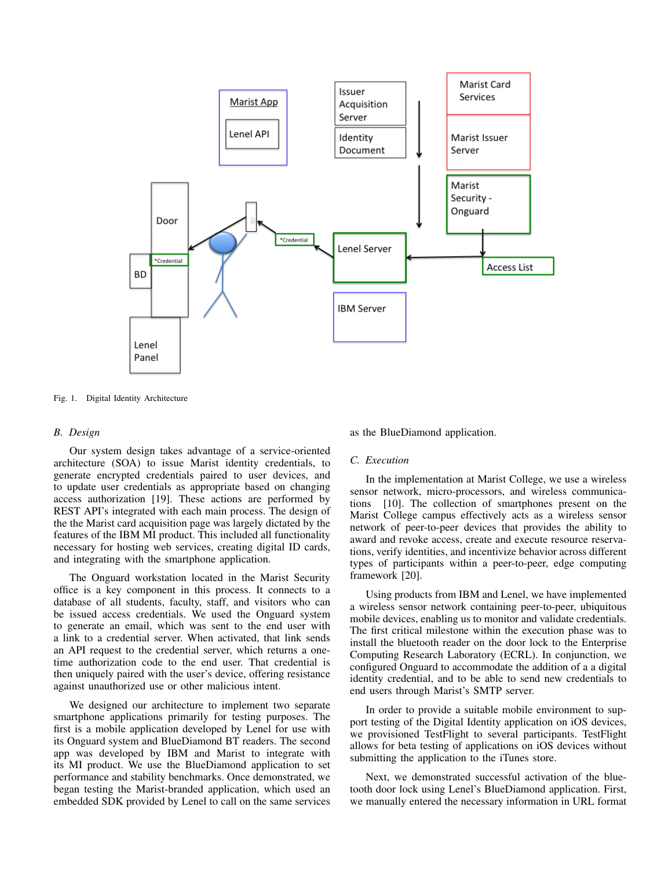

Fig. 1. Digital Identity Architecture

#### *B. Design*

Our system design takes advantage of a service-oriented architecture (SOA) to issue Marist identity credentials, to generate encrypted credentials paired to user devices, and to update user credentials as appropriate based on changing access authorization [19]. These actions are performed by REST API's integrated with each main process. The design of the the Marist card acquisition page was largely dictated by the features of the IBM MI product. This included all functionality necessary for hosting web services, creating digital ID cards, and integrating with the smartphone application.

The Onguard workstation located in the Marist Security office is a key component in this process. It connects to a database of all students, faculty, staff, and visitors who can be issued access credentials. We used the Onguard system to generate an email, which was sent to the end user with a link to a credential server. When activated, that link sends an API request to the credential server, which returns a onetime authorization code to the end user. That credential is then uniquely paired with the user's device, offering resistance against unauthorized use or other malicious intent.

We designed our architecture to implement two separate smartphone applications primarily for testing purposes. The first is a mobile application developed by Lenel for use with its Onguard system and BlueDiamond BT readers. The second app was developed by IBM and Marist to integrate with its MI product. We use the BlueDiamond application to set performance and stability benchmarks. Once demonstrated, we began testing the Marist-branded application, which used an embedded SDK provided by Lenel to call on the same services as the BlueDiamond application.

#### *C. Execution*

In the implementation at Marist College, we use a wireless sensor network, micro-processors, and wireless communications [10]. The collection of smartphones present on the Marist College campus effectively acts as a wireless sensor network of peer-to-peer devices that provides the ability to award and revoke access, create and execute resource reservations, verify identities, and incentivize behavior across different types of participants within a peer-to-peer, edge computing framework [20].

Using products from IBM and Lenel, we have implemented a wireless sensor network containing peer-to-peer, ubiquitous mobile devices, enabling us to monitor and validate credentials. The first critical milestone within the execution phase was to install the bluetooth reader on the door lock to the Enterprise Computing Research Laboratory (ECRL). In conjunction, we configured Onguard to accommodate the addition of a a digital identity credential, and to be able to send new credentials to end users through Marist's SMTP server.

In order to provide a suitable mobile environment to support testing of the Digital Identity application on iOS devices, we provisioned TestFlight to several participants. TestFlight allows for beta testing of applications on iOS devices without submitting the application to the iTunes store.

Next, we demonstrated successful activation of the bluetooth door lock using Lenel's BlueDiamond application. First, we manually entered the necessary information in URL format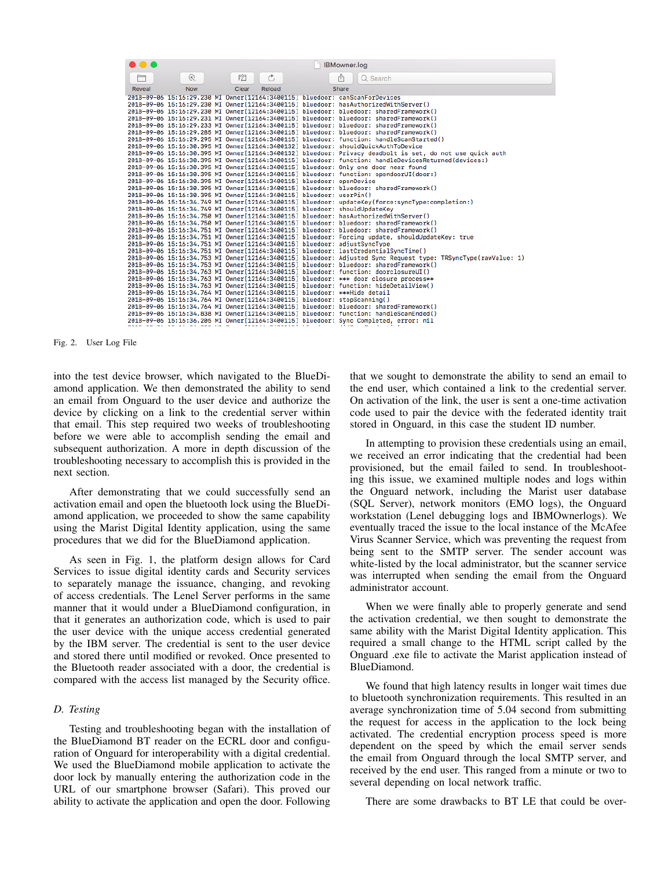| IBMowner.log<br>D O |              |                                                                             |  |                                                                                                               |
|---------------------|--------------|-----------------------------------------------------------------------------|--|---------------------------------------------------------------------------------------------------------------|
|                     | $\mathbb{Z}$ | 险<br>Ċ,                                                                     |  | ŕħ<br>Q Search                                                                                                |
| Reveal              | <b>Now</b>   | Reload<br>Clear                                                             |  | Share                                                                                                         |
|                     |              | 2018-09-06 15:16:29.230 MI Owner[12164:3400115] bluedoor: canScanForDevices |  |                                                                                                               |
|                     |              |                                                                             |  | 2018-09-06 15:16:29.230 MI Owner[12164:3400115] bluedoor: hasAuthorizedWithServer()                           |
|                     |              |                                                                             |  | 2018-09-06 15:16:29.230 MI Owner[12164:3400115] bluedoor: bluedoor: sharedFramework()                         |
|                     |              |                                                                             |  | 2018-09-06 15:16:29.231 MI Owner[12164:3400115] bluedoor: bluedoor: sharedFramework()                         |
|                     |              |                                                                             |  | 2018-09-06 15:16:29.233 MI Owner[12164:3400115] bluedoor: bluedoor: sharedFramework()                         |
|                     |              |                                                                             |  | 2018-09-06 15:16:29.285 MI Owner[12164:3400115] bluedoor: bluedoor: sharedFramework()                         |
|                     |              |                                                                             |  | 2018-09-06 15:16:29.295 MI Owner[12164:3400115] bluedoor: function: handleScanStarted()                       |
|                     |              |                                                                             |  | 2018-09-06 15:16:30.395 MI Owner[12164:3400132] bluedoor: shouldQuickAuthToDevice                             |
|                     |              |                                                                             |  | 2018-09-06 15:16:30.395 MI Owner[12164:3400132] bluedoor: Privacy deadbolt is set, do not use quick auth      |
|                     |              |                                                                             |  | 2018-09-06 15:16:30.395 MI Owner[12164:3400115] bluedoor: function: handleDevicesReturned(devices:)           |
|                     |              |                                                                             |  | 2018-09-06 15:16:30.395 MI Owner[12164:3400115] bluedoor: Only one door near found                            |
|                     |              |                                                                             |  | 2018-09-06 15:16:30.395 MI Owner[12164:3400115] bluedoor: function: opendoorUI(door:)                         |
|                     |              | 2018-09-06 15:16:30.395 MI Owner[12164:3400115] bluedoor: openDevice        |  |                                                                                                               |
|                     |              |                                                                             |  | 2018-09-06 15:16:30.395 MI Owner[12164:3400115] bluedoor: bluedoor: sharedFramework()                         |
|                     |              | 2018-09-06 15:16:30.395 MI Owner[12164:3400115] bluedoor: userPin()         |  |                                                                                                               |
|                     |              |                                                                             |  | 2018-09-06 15:16:34.749 MI Owner[12164:3400115] bluedoor: updateKey(force:syncType:completion:)               |
|                     |              | 2018-09-06 15:16:34.749 MI Owner[12164:3400115] bluedoor: shouldUpdateKey   |  |                                                                                                               |
|                     |              |                                                                             |  | 2018-09-06 15:16:34.750 MI Owner[12164:3400115] bluedoor: hasAuthorizedWithServer()                           |
|                     |              |                                                                             |  | 2018-09-06 15:16:34.750 MI Owner[12164:3400115] bluedoor: bluedoor: sharedFramework()                         |
|                     |              |                                                                             |  | 2018-09-06 15:16:34.751 MI Owner[12164:3400115] bluedoor: bluedoor: sharedFramework()                         |
|                     |              |                                                                             |  | 2018-09-06 15:16:34.751 MI Owner[12164:3400115] bluedoor: Forcing update, shouldUpdateKey: true               |
|                     |              | 2018-09-06 15:16:34.751 MI Owner[12164:3400115] bluedoor: adjustSyncType    |  |                                                                                                               |
|                     |              |                                                                             |  | 2018-09-06 15:16:34.751 MI Owner[12164:3400115] bluedoor: lastCredentialSvncTime()                            |
|                     |              |                                                                             |  | 2018-09-06 15:16:34.753 MI Owner[12164:3400115] bluedoor: Adjusted Sync Request type: TRSyncType(rawValue: 1) |
|                     |              |                                                                             |  | 2018-09-06 15:16:34.753 MI Owner[12164:3400115] bluedoor: bluedoor: sharedFramework()                         |
|                     |              |                                                                             |  | 2018-09-06 15:16:34.763 MI Owner[12164:3400115] bluedoor: function: doorclosureUI()                           |
|                     |              |                                                                             |  | 2018-09-06 15:16:34.763 MI Owner[12164:3400115] bluedoor: *** door closure process**                          |
|                     |              |                                                                             |  | 2018-09-06 15:16:34.763 MI Owner[12164:3400115] bluedoor: function: hideDetailView()                          |
|                     |              | 2018-09-06 15:16:34.764 MI Owner[12164:3400115] bluedoor: ***Hide detail    |  |                                                                                                               |
|                     |              | 2018-09-06 15:16:34.764 MI Owner[12164:3400115] bluedoor: stopScanning()    |  |                                                                                                               |
|                     |              |                                                                             |  | 2018-09-06 15:16:34.764 MI Owner[12164:3400115] bluedoor: bluedoor: sharedFramework()                         |
|                     |              |                                                                             |  | 2018-09-06 15:16:34.838 MI Owner[12164:3400115] bluedoor: function: handleScanEnded()                         |
|                     |              | nnan na ar ar ail ar ann 118 a - Tanair Ainneamh 19 - 19 - 19 -             |  | 2018-09-06 15:16:36.205 MI Owner[12164:3400115] bluedoor: Sync Completed, error: nil<br>أمامه فأنا            |

Fig. 2. User Log File

into the test device browser, which navigated to the BlueDiamond application. We then demonstrated the ability to send an email from Onguard to the user device and authorize the device by clicking on a link to the credential server within that email. This step required two weeks of troubleshooting before we were able to accomplish sending the email and subsequent authorization. A more in depth discussion of the troubleshooting necessary to accomplish this is provided in the next section.

After demonstrating that we could successfully send an activation email and open the bluetooth lock using the BlueDiamond application, we proceeded to show the same capability using the Marist Digital Identity application, using the same procedures that we did for the BlueDiamond application.

As seen in Fig. 1, the platform design allows for Card Services to issue digital identity cards and Security services to separately manage the issuance, changing, and revoking of access credentials. The Lenel Server performs in the same manner that it would under a BlueDiamond configuration, in that it generates an authorization code, which is used to pair the user device with the unique access credential generated by the IBM server. The credential is sent to the user device and stored there until modified or revoked. Once presented to the Bluetooth reader associated with a door, the credential is compared with the access list managed by the Security office.

## *D. Testing*

Testing and troubleshooting began with the installation of the BlueDiamond BT reader on the ECRL door and configuration of Onguard for interoperability with a digital credential. We used the BlueDiamond mobile application to activate the door lock by manually entering the authorization code in the URL of our smartphone browser (Safari). This proved our ability to activate the application and open the door. Following that we sought to demonstrate the ability to send an email to the end user, which contained a link to the credential server. On activation of the link, the user is sent a one-time activation code used to pair the device with the federated identity trait stored in Onguard, in this case the student ID number.

In attempting to provision these credentials using an email, we received an error indicating that the credential had been provisioned, but the email failed to send. In troubleshooting this issue, we examined multiple nodes and logs within the Onguard network, including the Marist user database (SQL Server), network monitors (EMO logs), the Onguard workstation (Lenel debugging logs and IBMOwnerlogs). We eventually traced the issue to the local instance of the McAfee Virus Scanner Service, which was preventing the request from being sent to the SMTP server. The sender account was white-listed by the local administrator, but the scanner service was interrupted when sending the email from the Onguard administrator account.

When we were finally able to properly generate and send the activation credential, we then sought to demonstrate the same ability with the Marist Digital Identity application. This required a small change to the HTML script called by the Onguard .exe file to activate the Marist application instead of BlueDiamond.

We found that high latency results in longer wait times due to bluetooth synchronization requirements. This resulted in an average synchronization time of 5.04 second from submitting the request for access in the application to the lock being activated. The credential encryption process speed is more dependent on the speed by which the email server sends the email from Onguard through the local SMTP server, and received by the end user. This ranged from a minute or two to several depending on local network traffic.

There are some drawbacks to BT LE that could be over-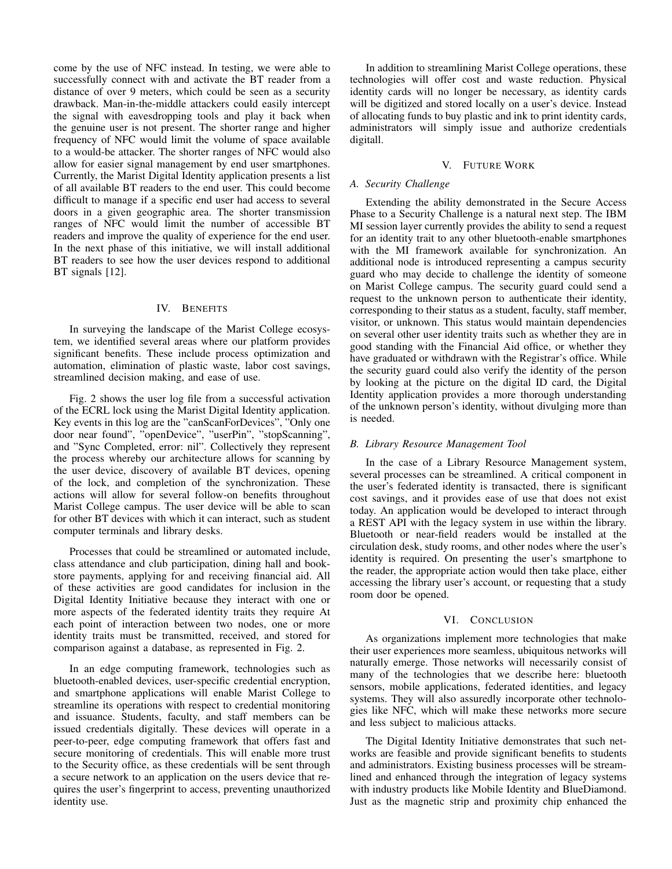come by the use of NFC instead. In testing, we were able to successfully connect with and activate the BT reader from a distance of over 9 meters, which could be seen as a security drawback. Man-in-the-middle attackers could easily intercept the signal with eavesdropping tools and play it back when the genuine user is not present. The shorter range and higher frequency of NFC would limit the volume of space available to a would-be attacker. The shorter ranges of NFC would also allow for easier signal management by end user smartphones. Currently, the Marist Digital Identity application presents a list of all available BT readers to the end user. This could become difficult to manage if a specific end user had access to several doors in a given geographic area. The shorter transmission ranges of NFC would limit the number of accessible BT readers and improve the quality of experience for the end user. In the next phase of this initiative, we will install additional BT readers to see how the user devices respond to additional BT signals [12].

## IV. BENEFITS

In surveying the landscape of the Marist College ecosystem, we identified several areas where our platform provides significant benefits. These include process optimization and automation, elimination of plastic waste, labor cost savings, streamlined decision making, and ease of use.

Fig. 2 shows the user log file from a successful activation of the ECRL lock using the Marist Digital Identity application. Key events in this log are the "canScanForDevices", "Only one door near found", "openDevice", "userPin", "stopScanning", and "Sync Completed, error: nil". Collectively they represent the process whereby our architecture allows for scanning by the user device, discovery of available BT devices, opening of the lock, and completion of the synchronization. These actions will allow for several follow-on benefits throughout Marist College campus. The user device will be able to scan for other BT devices with which it can interact, such as student computer terminals and library desks.

Processes that could be streamlined or automated include, class attendance and club participation, dining hall and bookstore payments, applying for and receiving financial aid. All of these activities are good candidates for inclusion in the Digital Identity Initiative because they interact with one or more aspects of the federated identity traits they require At each point of interaction between two nodes, one or more identity traits must be transmitted, received, and stored for comparison against a database, as represented in Fig. 2.

In an edge computing framework, technologies such as bluetooth-enabled devices, user-specific credential encryption, and smartphone applications will enable Marist College to streamline its operations with respect to credential monitoring and issuance. Students, faculty, and staff members can be issued credentials digitally. These devices will operate in a peer-to-peer, edge computing framework that offers fast and secure monitoring of credentials. This will enable more trust to the Security office, as these credentials will be sent through a secure network to an application on the users device that requires the user's fingerprint to access, preventing unauthorized identity use.

In addition to streamlining Marist College operations, these technologies will offer cost and waste reduction. Physical identity cards will no longer be necessary, as identity cards will be digitized and stored locally on a user's device. Instead of allocating funds to buy plastic and ink to print identity cards, administrators will simply issue and authorize credentials digitall.

#### V. FUTURE WORK

#### *A. Security Challenge*

Extending the ability demonstrated in the Secure Access Phase to a Security Challenge is a natural next step. The IBM MI session layer currently provides the ability to send a request for an identity trait to any other bluetooth-enable smartphones with the MI framework available for synchronization. An additional node is introduced representing a campus security guard who may decide to challenge the identity of someone on Marist College campus. The security guard could send a request to the unknown person to authenticate their identity, corresponding to their status as a student, faculty, staff member, visitor, or unknown. This status would maintain dependencies on several other user identity traits such as whether they are in good standing with the Financial Aid office, or whether they have graduated or withdrawn with the Registrar's office. While the security guard could also verify the identity of the person by looking at the picture on the digital ID card, the Digital Identity application provides a more thorough understanding of the unknown person's identity, without divulging more than is needed.

## *B. Library Resource Management Tool*

In the case of a Library Resource Management system, several processes can be streamlined. A critical component in the user's federated identity is transacted, there is significant cost savings, and it provides ease of use that does not exist today. An application would be developed to interact through a REST API with the legacy system in use within the library. Bluetooth or near-field readers would be installed at the circulation desk, study rooms, and other nodes where the user's identity is required. On presenting the user's smartphone to the reader, the appropriate action would then take place, either accessing the library user's account, or requesting that a study room door be opened.

#### VI. CONCLUSION

As organizations implement more technologies that make their user experiences more seamless, ubiquitous networks will naturally emerge. Those networks will necessarily consist of many of the technologies that we describe here: bluetooth sensors, mobile applications, federated identities, and legacy systems. They will also assuredly incorporate other technologies like NFC, which will make these networks more secure and less subject to malicious attacks.

The Digital Identity Initiative demonstrates that such networks are feasible and provide significant benefits to students and administrators. Existing business processes will be streamlined and enhanced through the integration of legacy systems with industry products like Mobile Identity and BlueDiamond. Just as the magnetic strip and proximity chip enhanced the